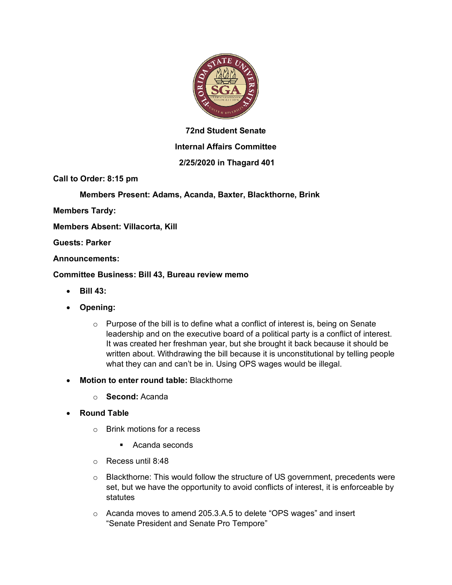

# **72nd Student Senate**

## **Internal Affairs Committee**

## **2/25/2020 in Thagard 401**

**Call to Order: 8:15 pm**

**Members Present: Adams, Acanda, Baxter, Blackthorne, Brink**

**Members Tardy:**

**Members Absent: Villacorta, Kill**

**Guests: Parker**

**Announcements:**

#### **Committee Business: Bill 43, Bureau review memo**

- **Bill 43:**
- **Opening:**
	- $\circ$  Purpose of the bill is to define what a conflict of interest is, being on Senate leadership and on the executive board of a political party is a conflict of interest. It was created her freshman year, but she brought it back because it should be written about. Withdrawing the bill because it is unconstitutional by telling people what they can and can't be in. Using OPS wages would be illegal.
- **Motion to enter round table:** Blackthorne
	- o **Second:** Acanda
- **Round Table**
	- o Brink motions for a recess
		- Acanda seconds
	- o Recess until 8:48
	- $\circ$  Blackthorne: This would follow the structure of US government, precedents were set, but we have the opportunity to avoid conflicts of interest, it is enforceable by statutes
	- o Acanda moves to amend 205.3.A.5 to delete "OPS wages" and insert "Senate President and Senate Pro Tempore"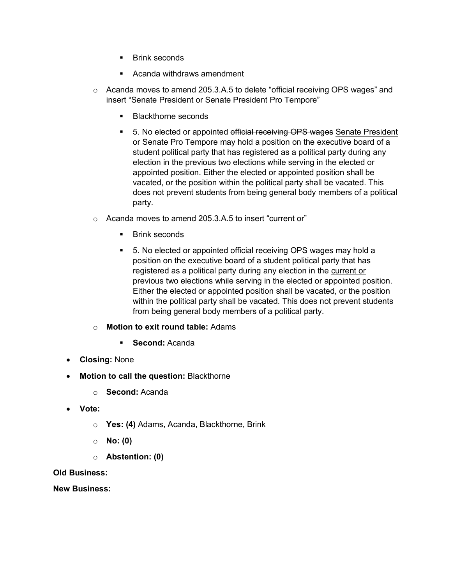- Brink seconds
- § Acanda withdraws amendment
- $\circ$  Acanda moves to amend 205.3.A.5 to delete "official receiving OPS wages" and insert "Senate President or Senate President Pro Tempore"
	- § Blackthorne seconds
	- 5. No elected or appointed official receiving OPS wages Senate President or Senate Pro Tempore may hold a position on the executive board of a student political party that has registered as a political party during any election in the previous two elections while serving in the elected or appointed position. Either the elected or appointed position shall be vacated, or the position within the political party shall be vacated. This does not prevent students from being general body members of a political party.
- o Acanda moves to amend 205.3.A.5 to insert "current or"
	- § Brink seconds
	- 5. No elected or appointed official receiving OPS wages may hold a position on the executive board of a student political party that has registered as a political party during any election in the current or previous two elections while serving in the elected or appointed position. Either the elected or appointed position shall be vacated, or the position within the political party shall be vacated. This does not prevent students from being general body members of a political party.

### o **Motion to exit round table:** Adams

- § **Second:** Acanda
- **Closing:** None
- **Motion to call the question:** Blackthorne
	- o **Second:** Acanda
- **Vote:**
	- o **Yes: (4)** Adams, Acanda, Blackthorne, Brink
	- o **No: (0)**
	- o **Abstention: (0)**

#### **Old Business:**

**New Business:**